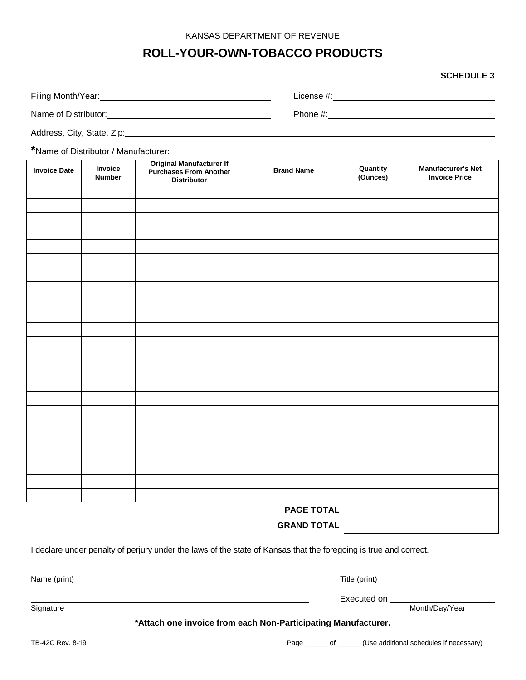#### KANSAS DEPARTMENT OF REVENUE

# **ROLL-YOUR-OWN-TOBACCO PRODUCTS**

#### **SCHEDULE 3**

| Filing Month/Year:         | License #: |
|----------------------------|------------|
| Name of Distributor:       | Phone #:   |
| Address, City, State, Zip: |            |

**\***Name of Distributor / Manufacturer:

| <b>Invoice Date</b> | Invoice<br><b>Number</b> | <b>Original Manufacturer If</b><br><b>Purchases From Another</b><br><b>Distributor</b> | <b>Brand Name</b> | Quantity<br>(Ounces) | <b>Manufacturer's Net</b><br><b>Invoice Price</b> |
|---------------------|--------------------------|----------------------------------------------------------------------------------------|-------------------|----------------------|---------------------------------------------------|
|                     |                          |                                                                                        |                   |                      |                                                   |
|                     |                          |                                                                                        |                   |                      |                                                   |
|                     |                          |                                                                                        |                   |                      |                                                   |
|                     |                          |                                                                                        |                   |                      |                                                   |
|                     |                          |                                                                                        |                   |                      |                                                   |
|                     |                          |                                                                                        |                   |                      |                                                   |
|                     |                          |                                                                                        |                   |                      |                                                   |
|                     |                          |                                                                                        |                   |                      |                                                   |
|                     |                          |                                                                                        |                   |                      |                                                   |
|                     |                          |                                                                                        |                   |                      |                                                   |
|                     |                          |                                                                                        |                   |                      |                                                   |
|                     |                          |                                                                                        |                   |                      |                                                   |
|                     |                          |                                                                                        |                   |                      |                                                   |
|                     |                          |                                                                                        |                   |                      |                                                   |
|                     |                          |                                                                                        |                   |                      |                                                   |
|                     |                          |                                                                                        |                   |                      |                                                   |
|                     |                          |                                                                                        |                   |                      |                                                   |
|                     |                          |                                                                                        |                   |                      |                                                   |
|                     |                          |                                                                                        |                   |                      |                                                   |
|                     |                          |                                                                                        |                   |                      |                                                   |
|                     |                          |                                                                                        |                   |                      |                                                   |
|                     |                          |                                                                                        |                   |                      |                                                   |
|                     |                          |                                                                                        |                   |                      |                                                   |
| <b>PAGE TOTAL</b>   |                          |                                                                                        |                   |                      |                                                   |
| <b>GRAND TOTAL</b>  |                          |                                                                                        |                   |                      |                                                   |

I declare under penalty of perjury under the laws of the state of Kansas that the foregoing is true and correct.

Name (print) Title (print) **Signature** Executed on Month/Day/Year **\*Attach one invoice from each Non-Participating Manufacturer.**

TB-42C Rev. 8-19 **Page 19 Accord Page 20 Accord Page 20** Accord CUSe additional schedules if necessary)